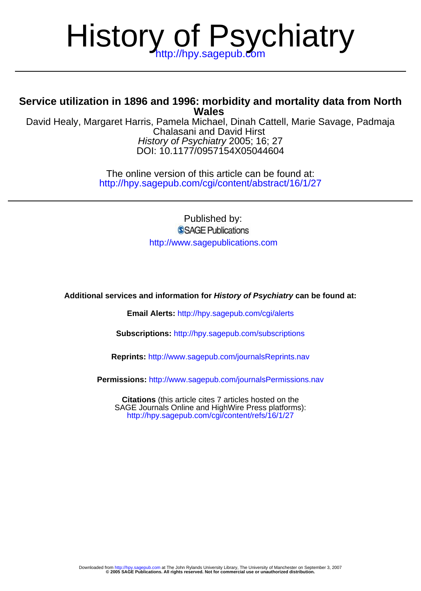# History of Psychiatry

### **Wales Service utilization in 1896 and 1996: morbidity and mortality data from North**

DOI: 10.1177/0957154X05044604 History of Psychiatry 2005; 16; 27 Chalasani and David Hirst David Healy, Margaret Harris, Pamela Michael, Dinah Cattell, Marie Savage, Padmaja

> http://hpy.sagepub.com/cgi/content/abstract/16/1/27 The online version of this article can be found at:

> > Published by: SSAGE Publications http://www.sagepublications.com

**Additional services and information for History of Psychiatry can be found at:**

**Email Alerts:** <http://hpy.sagepub.com/cgi/alerts>

**Subscriptions:** <http://hpy.sagepub.com/subscriptions>

**Reprints:** <http://www.sagepub.com/journalsReprints.nav>

**Permissions:** <http://www.sagepub.com/journalsPermissions.nav>

<http://hpy.sagepub.com/cgi/content/refs/16/1/27> SAGE Journals Online and HighWire Press platforms): **Citations** (this article cites 7 articles hosted on the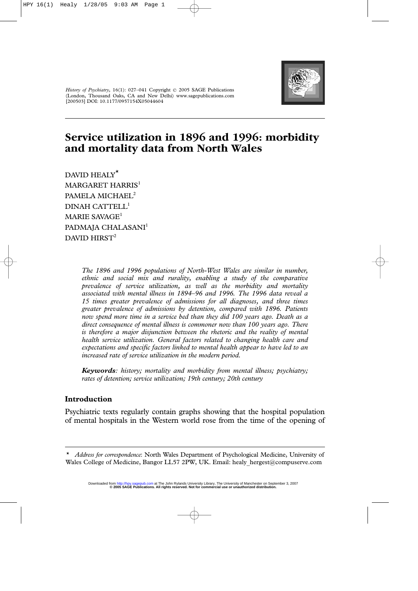



# **Service utilization in 1896 and 1996: morbidity and mortality data from North Wales**

DAVID HEALY<sup>\*</sup>  $MARGARET HARRIS<sup>1</sup>$ PAMELA MICHAEL<sup>2</sup> DINAH CATTELL<sup>1</sup> MARIE SAVAGE<sup>1</sup> PADMAIA CHALASANI<sup>1</sup> DAVID HIRST $2$ 

> *The 1896 and 1996 populations of North-West Wales are similar in number, ethnic and social mix and rurality, enabling a study of the comparative prevalence of service utilization, as well as the morbidity and mortality associated with mental illness in 1894–96 and 1996. The 1996 data reveal a 15 times greater prevalence of admissions for all diagnoses, and three times greater prevalence of admissions by detention, compared with 1896. Patients now spend more time in a service bed than they did 100 years ago. Death as a direct consequence of mental illness is commoner now than 100 years ago. There is therefore a major disjunction between the rhetoric and the reality of mental health service utilization. General factors related to changing health care and expectations and specific factors linked to mental health appear to have led to an increased rate of service utilization in the modern period.*

> *Keywords: history; mortality and morbidity from mental illness; psychiatry; rates of detention; service utilization; 19th century; 20th century*

## **Introduction**

Psychiatric texts regularly contain graphs showing that the hospital population of mental hospitals in the Western world rose from the time of the opening of

*<sup>\*</sup> Address for correspondence*: North Wales Department of Psychological Medicine, University of Wales College of Medicine, Bangor LL57 2PW, UK. Email: healy hergest@compuserve.com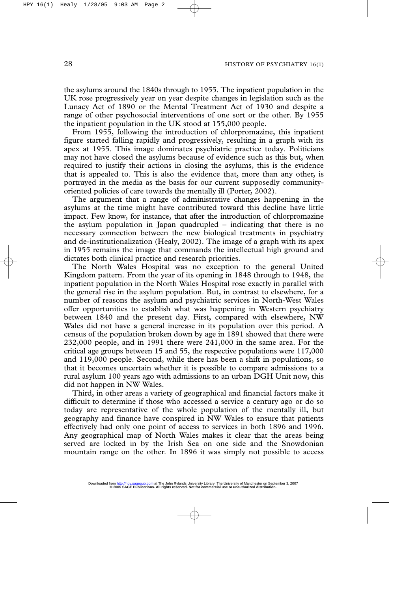the asylums around the 1840s through to 1955. The inpatient population in the UK rose progressively year on year despite changes in legislation such as the Lunacy Act of 1890 or the Mental Treatment Act of 1930 and despite a range of other psychosocial interventions of one sort or the other. By 1955 the inpatient population in the UK stood at 155,000 people.

From 1955, following the introduction of chlorpromazine, this inpatient figure started falling rapidly and progressively, resulting in a graph with its apex at 1955. This image dominates psychiatric practice today. Politicians may not have closed the asylums because of evidence such as this but, when required to justify their actions in closing the asylums, this is the evidence that is appealed to. This is also the evidence that, more than any other, is portrayed in the media as the basis for our current supposedly communityoriented policies of care towards the mentally ill (Porter, 2002).

The argument that a range of administrative changes happening in the asylums at the time might have contributed toward this decline have little impact. Few know, for instance, that after the introduction of chlorpromazine the asylum population in Japan quadrupled – indicating that there is no necessary connection between the new biological treatments in psychiatry and de-institutionalization (Healy, 2002). The image of a graph with its apex in 1955 remains the image that commands the intellectual high ground and dictates both clinical practice and research priorities.

The North Wales Hospital was no exception to the general United Kingdom pattern. From the year of its opening in 1848 through to 1948, the inpatient population in the North Wales Hospital rose exactly in parallel with the general rise in the asylum population. But, in contrast to elsewhere, for a number of reasons the asylum and psychiatric services in North-West Wales offer opportunities to establish what was happening in Western psychiatry between 1840 and the present day. First, compared with elsewhere, NW Wales did not have a general increase in its population over this period. A census of the population broken down by age in 1891 showed that there were 232,000 people, and in 1991 there were 241,000 in the same area. For the critical age groups between 15 and 55, the respective populations were 117,000 and 119,000 people. Second, while there has been a shift in populations, so that it becomes uncertain whether it is possible to compare admissions to a rural asylum 100 years ago with admissions to an urban DGH Unit now, this did not happen in NW Wales.

Third, in other areas a variety of geographical and financial factors make it difficult to determine if those who accessed a service a century ago or do so today are representative of the whole population of the mentally ill, but geography and finance have conspired in NW Wales to ensure that patients effectively had only one point of access to services in both 1896 and 1996. Any geographical map of North Wales makes it clear that the areas being served are locked in by the Irish Sea on one side and the Snowdonian mountain range on the other. In 1896 it was simply not possible to access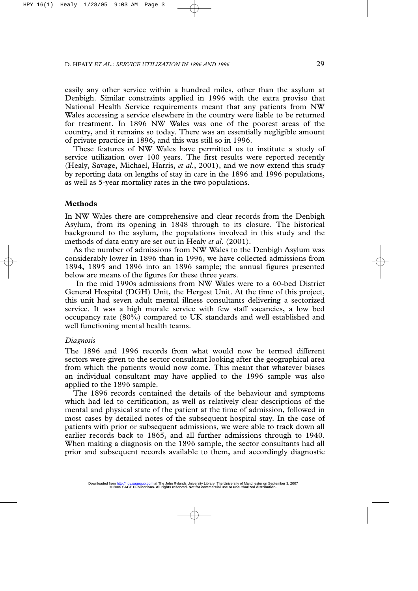easily any other service within a hundred miles, other than the asylum at Denbigh. Similar constraints applied in 1996 with the extra proviso that National Health Service requirements meant that any patients from NW Wales accessing a service elsewhere in the country were liable to be returned for treatment. In 1896 NW Wales was one of the poorest areas of the country, and it remains so today. There was an essentially negligible amount of private practice in 1896, and this was still so in 1996.

These features of NW Wales have permitted us to institute a study of service utilization over 100 years. The first results were reported recently (Healy, Savage, Michael, Harris, *et al*., 2001), and we now extend this study by reporting data on lengths of stay in care in the 1896 and 1996 populations, as well as 5-year mortality rates in the two populations.

#### **Methods**

In NW Wales there are comprehensive and clear records from the Denbigh Asylum, from its opening in 1848 through to its closure. The historical background to the asylum, the populations involved in this study and the methods of data entry are set out in Healy *et al*. (2001).

As the number of admissions from NW Wales to the Denbigh Asylum was considerably lower in 1896 than in 1996, we have collected admissions from 1894, 1895 and 1896 into an 1896 sample; the annual figures presented below are means of the figures for these three years.

In the mid 1990s admissions from NW Wales were to a 60-bed District General Hospital (DGH) Unit, the Hergest Unit. At the time of this project, this unit had seven adult mental illness consultants delivering a sectorized service. It was a high morale service with few staff vacancies, a low bed occupancy rate (80%) compared to UK standards and well established and well functioning mental health teams.

#### *Diagnosis*

The 1896 and 1996 records from what would now be termed different sectors were given to the sector consultant looking after the geographical area from which the patients would now come. This meant that whatever biases an individual consultant may have applied to the 1996 sample was also applied to the 1896 sample.

The 1896 records contained the details of the behaviour and symptoms which had led to certification, as well as relatively clear descriptions of the mental and physical state of the patient at the time of admission, followed in most cases by detailed notes of the subsequent hospital stay. In the case of patients with prior or subsequent admissions, we were able to track down all earlier records back to 1865, and all further admissions through to 1940. When making a diagnosis on the 1896 sample, the sector consultants had all prior and subsequent records available to them, and accordingly diagnostic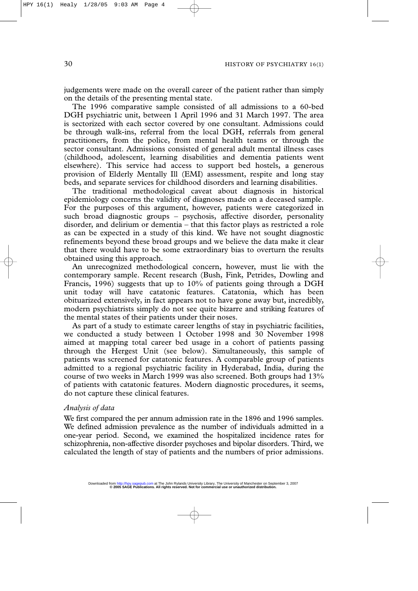judgements were made on the overall career of the patient rather than simply on the details of the presenting mental state.

The 1996 comparative sample consisted of all admissions to a 60-bed DGH psychiatric unit, between 1 April 1996 and 31 March 1997. The area is sectorized with each sector covered by one consultant. Admissions could be through walk-ins, referral from the local DGH, referrals from general practitioners, from the police, from mental health teams or through the sector consultant. Admissions consisted of general adult mental illness cases (childhood, adolescent, learning disabilities and dementia patients went elsewhere). This service had access to support bed hostels, a generous provision of Elderly Mentally Ill (EMI) assessment, respite and long stay beds, and separate services for childhood disorders and learning disabilities.

The traditional methodological caveat about diagnosis in historical epidemiology concerns the validity of diagnoses made on a deceased sample. For the purposes of this argument, however, patients were categorized in such broad diagnostic groups – psychosis, affective disorder, personality disorder, and delirium or dementia – that this factor plays as restricted a role as can be expected in a study of this kind. We have not sought diagnostic refinements beyond these broad groups and we believe the data make it clear that there would have to be some extraordinary bias to overturn the results obtained using this approach.

An unrecognized methodological concern, however, must lie with the contemporary sample. Recent research (Bush, Fink, Petrides, Dowling and Francis, 1996) suggests that up to 10% of patients going through a DGH unit today will have catatonic features. Catatonia, which has been obituarized extensively, in fact appears not to have gone away but, incredibly, modern psychiatrists simply do not see quite bizarre and striking features of the mental states of their patients under their noses.

As part of a study to estimate career lengths of stay in psychiatric facilities, we conducted a study between 1 October 1998 and 30 November 1998 aimed at mapping total career bed usage in a cohort of patients passing through the Hergest Unit (see below). Simultaneously, this sample of patients was screened for catatonic features. A comparable group of patients admitted to a regional psychiatric facility in Hyderabad, India, during the course of two weeks in March 1999 was also screened. Both groups had 13% of patients with catatonic features. Modern diagnostic procedures, it seems, do not capture these clinical features.

#### *Analysis of data*

We first compared the per annum admission rate in the 1896 and 1996 samples. We defined admission prevalence as the number of individuals admitted in a one-year period. Second, we examined the hospitalized incidence rates for schizophrenia, non-affective disorder psychoses and bipolar disorders. Third, we calculated the length of stay of patients and the numbers of prior admissions.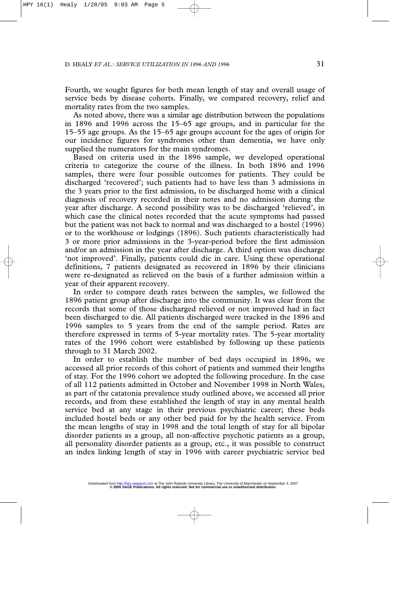Fourth, we sought figures for both mean length of stay and overall usage of service beds by disease cohorts. Finally, we compared recovery, relief and mortality rates from the two samples.

As noted above, there was a similar age distribution between the populations in 1896 and 1996 across the 15–65 age groups, and in particular for the 15–55 age groups. As the 15–65 age groups account for the ages of origin for our incidence figures for syndromes other than dementia, we have only supplied the numerators for the main syndromes.

Based on criteria used in the 1896 sample, we developed operational criteria to categorize the course of the illness. In both 1896 and 1996 samples, there were four possible outcomes for patients. They could be discharged 'recovered'; such patients had to have less than 3 admissions in the 3 years prior to the first admission, to be discharged home with a clinical diagnosis of recovery recorded in their notes and no admission during the year after discharge. A second possibility was to be discharged 'relieved', in which case the clinical notes recorded that the acute symptoms had passed but the patient was not back to normal and was discharged to a hostel (1996) or to the workhouse or lodgings (1896). Such patients characteristically had 3 or more prior admissions in the 3-year-period before the first admission and/or an admission in the year after discharge. A third option was discharge 'not improved'. Finally, patients could die in care. Using these operational definitions, 7 patients designated as recovered in 1896 by their clinicians were re-designated as relieved on the basis of a further admission within a year of their apparent recovery.

In order to compare death rates between the samples, we followed the 1896 patient group after discharge into the community. It was clear from the records that some of those discharged relieved or not improved had in fact been discharged to die. All patients discharged were tracked in the 1896 and 1996 samples to 5 years from the end of the sample period. Rates are therefore expressed in terms of 5-year mortality rates. The 5-year mortality rates of the 1996 cohort were established by following up these patients through to 31 March 2002.

In order to establish the number of bed days occupied in 1896, we accessed all prior records of this cohort of patients and summed their lengths of stay. For the 1996 cohort we adopted the following procedure. In the case of all 112 patients admitted in October and November 1998 in North Wales, as part of the catatonia prevalence study outlined above, we accessed all prior records, and from these established the length of stay in any mental health service bed at any stage in their previous psychiatric career; these beds included hostel beds or any other bed paid for by the health service. From the mean lengths of stay in 1998 and the total length of stay for all bipolar disorder patients as a group, all non-affective psychotic patients as a group, all personality disorder patients as a group, etc., it was possible to construct an index linking length of stay in 1996 with career psychiatric service bed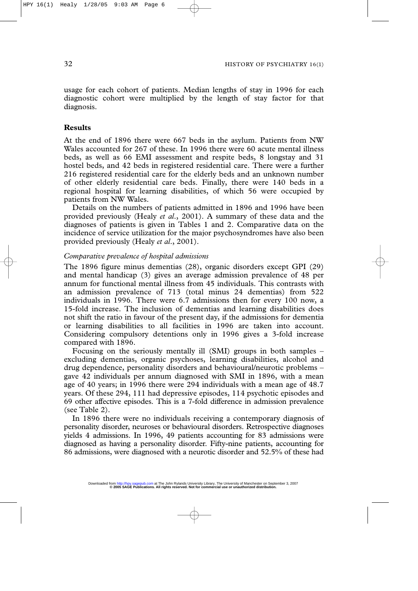usage for each cohort of patients. Median lengths of stay in 1996 for each diagnostic cohort were multiplied by the length of stay factor for that diagnosis.

#### **Results**

At the end of 1896 there were 667 beds in the asylum. Patients from NW Wales accounted for 267 of these. In 1996 there were 60 acute mental illness beds, as well as 66 EMI assessment and respite beds, 8 longstay and 31 hostel beds, and 42 beds in registered residential care. There were a further 216 registered residential care for the elderly beds and an unknown number of other elderly residential care beds. Finally, there were 140 beds in a regional hospital for learning disabilities, of which 56 were occupied by patients from NW Wales.

Details on the numbers of patients admitted in 1896 and 1996 have been provided previously (Healy *et al*., 2001). A summary of these data and the diagnoses of patients is given in Tables 1 and 2. Comparative data on the incidence of service utilization for the major psychosyndromes have also been provided previously (Healy *et al*., 2001).

#### *Comparative prevalence of hospital admissions*

The 1896 figure minus dementias (28), organic disorders except GPI (29) and mental handicap (3) gives an average admission prevalence of 48 per annum for functional mental illness from 45 individuals. This contrasts with an admission prevalence of 713 (total minus 24 dementias) from 522 individuals in 1996. There were 6.7 admissions then for every 100 now, a 15-fold increase. The inclusion of dementias and learning disabilities does not shift the ratio in favour of the present day, if the admissions for dementia or learning disabilities to all facilities in 1996 are taken into account. Considering compulsory detentions only in 1996 gives a 3-fold increase compared with 1896.

Focusing on the seriously mentally ill (SMI) groups in both samples – excluding dementias, organic psychoses, learning disabilities, alcohol and drug dependence, personality disorders and behavioural/neurotic problems – gave 42 individuals per annum diagnosed with SMI in 1896, with a mean age of 40 years; in 1996 there were 294 individuals with a mean age of 48.7 years. Of these 294, 111 had depressive episodes, 114 psychotic episodes and 69 other affective episodes. This is a 7-fold difference in admission prevalence (see Table 2).

In 1896 there were no individuals receiving a contemporary diagnosis of personality disorder, neuroses or behavioural disorders. Retrospective diagnoses yields 4 admissions. In 1996, 49 patients accounting for 83 admissions were diagnosed as having a personality disorder. Fifty-nine patients, accounting for 86 admissions, were diagnosed with a neurotic disorder and 52.5% of these had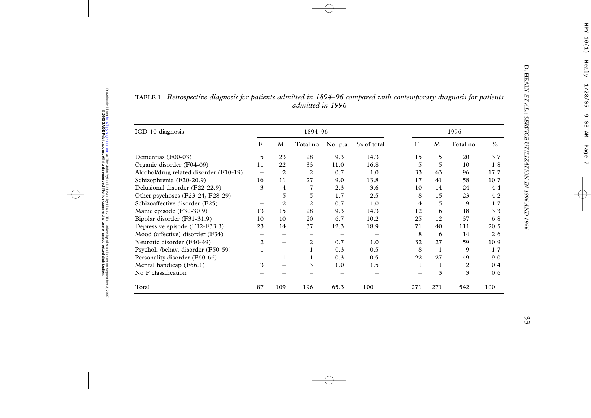|                                                                                                                                                                                                | TABLE 1. Retros                                                                                                                                                                                                                                                                                                                                                    |
|------------------------------------------------------------------------------------------------------------------------------------------------------------------------------------------------|--------------------------------------------------------------------------------------------------------------------------------------------------------------------------------------------------------------------------------------------------------------------------------------------------------------------------------------------------------------------|
|                                                                                                                                                                                                | ICD-10 diagnosis                                                                                                                                                                                                                                                                                                                                                   |
| ◎ 2005 SAGE Publications. All rights reserved. Not for commercial use or unauthorized distribution.<br><b>Rylands</b><br>University Library, The University of Manchester on September 3, 2007 | Dementias (F00-0<br>Organic disorder (<br>Alcohol/drug relat<br>Schizophrenia (F2<br>Delusional disorde<br>Other psychoses (1<br>Schizoaffective dis<br>Manic episode (F3<br>Bipolar disorder (I<br>Depressive episode<br>Mood (affective) c<br>Neurotic disorder<br>Psychol. /behav. d<br>Personality disord<br>Mental handicap (<br>No F classification<br>Total |
|                                                                                                                                                                                                |                                                                                                                                                                                                                                                                                                                                                                    |

TABLE 1. *Retrospective diagnosis for patients admitted in 1894–96 compared with contemporary diagnosis for patients admitted in 1996*

| ICD-10 diagnosis                       | 1894-96                  |                          |                |          |               |     | 1996 |           |               |
|----------------------------------------|--------------------------|--------------------------|----------------|----------|---------------|-----|------|-----------|---------------|
|                                        | F                        | M                        | Total no.      | No. p.a. | $\%$ of total | F   | M    | Total no. | $\frac{0}{0}$ |
| Dementias (F00-03)                     | 5                        | 23                       | 28             | 9.3      | 14.3          | 15  | 5    | 20        | 3.7           |
| Organic disorder (F04-09)              | 11                       | 22                       | 33             | 11.0     | 16.8          | 5   | 5    | 10        | 1.8           |
| Alcohol/drug related disorder (F10-19) | $\overline{\phantom{0}}$ | $\overline{2}$           | $\overline{2}$ | 0.7      | 1.0           | 33  | 63   | 96        | 17.7          |
| Schizophrenia (F20-20.9)               | 16                       | 11                       | 27             | 9.0      | 13.8          | 17  | 41   | 58        | 10.7          |
| Delusional disorder (F22-22.9)         | 3                        | 4                        | 7              | 2.3      | 3.6           | 10  | 14   | 24        | 4.4           |
| Other psychoses (F23-24, F28-29)       |                          | 5                        | 5              | 1.7      | 2.5           | 8   | 15   | 23        | 4.2           |
| Schizoaffective disorder (F25)         | $\overline{\phantom{m}}$ | 2                        | $\overline{2}$ | 0.7      | 1.0           | 4   | 5    | 9         | 1.7           |
| Manic episode (F30-30.9)               | 13                       | 15                       | 28             | 9.3      | 14.3          | 12  | 6    | 18        | 3.3           |
| Bipolar disorder (F31-31.9)            | 10                       | 10                       | 20             | 6.7      | 10.2          | 25  | 12   | 37        | 6.8           |
| Depressive episode (F32-F33.3)         | 23                       | 14                       | 37             | 12.3     | 18.9          | 71  | 40   | 111       | 20.5          |
| Mood (affective) disorder (F34)        |                          |                          |                |          |               | 8   | 6    | 14        | 2.6           |
| Neurotic disorder (F40-49)             | 2                        | $\overline{\phantom{0}}$ | 2              | 0.7      | 1.0           | 32  | 27   | 59        | 10.9          |
| Psychol. /behav. disorder (F50-59)     | 1                        |                          | 1              | 0.3      | $0.5^{\circ}$ | 8   | 1    | 9         | 1.7           |
| Personality disorder (F60-66)          |                          |                          | 1              | 0.3      | 0.5           | 22  | 27   | 49        | 9.0           |
| Mental handicap (F66.1)                | 3                        |                          | 3              | 1.0      | 1.5           | 1   | 1    | 2         | 0.4           |
| No F classification                    |                          |                          |                |          |               |     | 3    | 3         | 0.6           |
| Total                                  | 87                       | 109                      | 196            | 65.3     | 100           | 271 | 271  | 542       | 100           |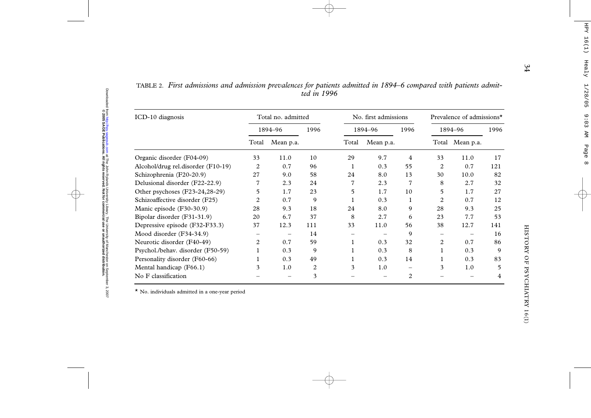| ICD-10 diagnosis                   | Total no. admitted |           |      | No. first admissions |           |      | Prevalence of admissions* |           |      |
|------------------------------------|--------------------|-----------|------|----------------------|-----------|------|---------------------------|-----------|------|
|                                    | 1894-96            |           | 1996 | 1894-96              |           | 1996 | 1894-96                   |           | 1996 |
|                                    | Total              | Mean p.a. |      | Total                | Mean p.a. |      | Total                     | Mean p.a. |      |
| Organic disorder (F04-09)          | 33                 | 11.0      | 10   | 29                   | 9.7       | 4    | 33                        | 11.0      | 17   |
| Alcohol/drug rel.disorder (F10-19) | $\overline{c}$     | 0.7       | 96   | 1                    | 0.3       | 55   | $\overline{c}$            | 0.7       | 121  |
| Schizophrenia (F20-20.9)           | 27                 | 9.0       | 58   | 24                   | 8.0       | 13   | 30                        | 10.0      | 82   |
| Delusional disorder (F22-22.9)     | 7                  | 2.3       | 24   | 7                    | 2.3       | 7    | 8                         | 2.7       | 32   |
| Other psychoses $(F23-24,28-29)$   | 5                  | 1.7       | 23   | 5                    | 1.7       | 10   | 5                         | 1.7       | 27   |
| Schizoaffective disorder (F25)     | 2                  | 0.7       | 9    |                      | 0.3       |      | 2                         | 0.7       | 12   |
| Manic episode (F30-30.9)           | 28                 | 9.3       | 18   | 24                   | 8.0       | 9    | 28                        | 9.3       | 25   |
| Bipolar disorder (F31-31.9)        | 20                 | 6.7       | 37   | 8                    | 2.7       | 6    | 23                        | 7.7       | 53   |
| Depressive episode (F32-F33.3)     | 37                 | 12.3      | 111  | 33                   | 11.0      | 56   | 38                        | 12.7      | 141  |
| Mood disorder (F34-34.9)           | -                  | -         | 14   | -                    |           | 9    | -                         | -         | 16   |
| Neurotic disorder (F40-49)         | 2                  | 0.7       | 59   | 1                    | 0.3       | 32   | 2                         | 0.7       | 86   |
| Psychol./behav. disorder (F50-59)  |                    | 0.3       | 9    |                      | 0.3       | 8    |                           | 0.3       | 9    |
| Personality disorder (F60-66)      |                    | 0.3       | 49   |                      | 0.3       | 14   |                           | 0.3       | 83   |
| Mental handicap (F66.1)            | 3                  | 1.0       | 2    | 3                    | 1.0       |      | 3                         | 1.0       | 5    |
| No F classification                |                    |           | 3    |                      |           | 2    |                           |           | 4    |

TABLE 2. *First admissions and admission prevalences for patients admitted in 1894–6 compared with patients admitted in 1996*

\* No. individuals admitted in a one-year period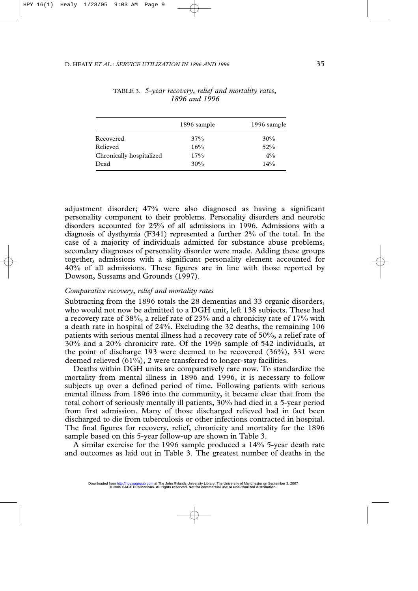|                          | 1896 sample | 1996 sample |
|--------------------------|-------------|-------------|
| Recovered                | 37%         | 30%         |
| Relieved                 | 16%         | 52%         |
| Chronically hospitalized | 17%         | $4\%$       |
| Dead                     | 30%         | 14%         |

| TABLE 3. 5-year recovery, relief and mortality rates, |               |  |  |
|-------------------------------------------------------|---------------|--|--|
|                                                       | 1896 and 1996 |  |  |

adjustment disorder; 47% were also diagnosed as having a significant personality component to their problems. Personality disorders and neurotic disorders accounted for 25% of all admissions in 1996. Admissions with a diagnosis of dysthymia (F341) represented a further 2% of the total. In the case of a majority of individuals admitted for substance abuse problems, secondary diagnoses of personality disorder were made. Adding these groups together, admissions with a significant personality element accounted for 40% of all admissions. These figures are in line with those reported by Dowson, Sussams and Grounds (1997).

#### *Comparative recovery, relief and mortality rates*

Subtracting from the 1896 totals the 28 dementias and 33 organic disorders, who would not now be admitted to a DGH unit, left 138 subjects. These had a recovery rate of 38%, a relief rate of 23% and a chronicity rate of 17% with a death rate in hospital of 24%. Excluding the 32 deaths, the remaining 106 patients with serious mental illness had a recovery rate of 50%, a relief rate of 30% and a 20% chronicity rate. Of the 1996 sample of 542 individuals, at the point of discharge 193 were deemed to be recovered (36%), 331 were deemed relieved (61%), 2 were transferred to longer-stay facilities.

Deaths within DGH units are comparatively rare now. To standardize the mortality from mental illness in 1896 and 1996, it is necessary to follow subjects up over a defined period of time. Following patients with serious mental illness from 1896 into the community, it became clear that from the total cohort of seriously mentally ill patients, 30% had died in a 5-year period from first admission. Many of those discharged relieved had in fact been discharged to die from tuberculosis or other infections contracted in hospital. The final figures for recovery, relief, chronicity and mortality for the 1896 sample based on this 5-year follow-up are shown in Table 3.

A similar exercise for the 1996 sample produced a 14% 5-year death rate and outcomes as laid out in Table 3. The greatest number of deaths in the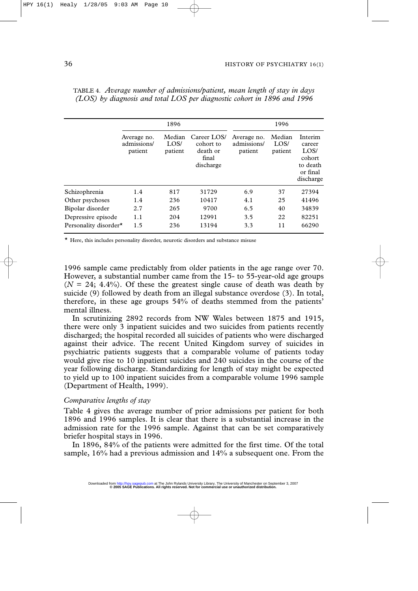|                                   |                                       | 1896                      |                                                            | 1996                                  |                           |                                                                          |  |  |
|-----------------------------------|---------------------------------------|---------------------------|------------------------------------------------------------|---------------------------------------|---------------------------|--------------------------------------------------------------------------|--|--|
|                                   | Average no.<br>admissions/<br>patient | Median<br>LOS/<br>patient | Career LOS/<br>cohort to<br>death or<br>final<br>discharge | Average no.<br>admissions/<br>patient | Median<br>LOS/<br>patient | Interim<br>career<br>LOS/<br>cohort<br>to death<br>or final<br>discharge |  |  |
| Schizophrenia                     | 1.4                                   | 817                       | 31729                                                      | 6.9                                   | 37                        | 27394                                                                    |  |  |
| Other psychoses                   | 1.4                                   | 236                       | 10417                                                      | 4.1                                   | 25                        | 41496                                                                    |  |  |
| Bipolar disorder                  | 2.7                                   | 265                       | 9700                                                       | 6.5                                   | 40                        | 34839                                                                    |  |  |
| Depressive episode                | 1.1                                   | 204                       | 12991                                                      | 3.5                                   | 22                        | 82251                                                                    |  |  |
| Personality disorder <sup>*</sup> | 1.5                                   | 236                       | 13194                                                      | 3.3                                   | 11                        | 66290                                                                    |  |  |

TABLE 4. *Average number of admissions/patient, mean length of stay in days (LOS) by diagnosis and total LOS per diagnostic cohort in 1896 and 1996*

\* Here, this includes personality disorder, neurotic disorders and substance misuse

1996 sample came predictably from older patients in the age range over 70. However, a substantial number came from the 15- to 55-year-old age groups  $(N = 24; 4.4\%)$ . Of these the greatest single cause of death was death by suicide (9) followed by death from an illegal substance overdose (3). In total, therefore, in these age groups 54% of deaths stemmed from the patients' mental illness.

In scrutinizing 2892 records from NW Wales between 1875 and 1915, there were only 3 inpatient suicides and two suicides from patients recently discharged; the hospital recorded all suicides of patients who were discharged against their advice. The recent United Kingdom survey of suicides in psychiatric patients suggests that a comparable volume of patients today would give rise to 10 inpatient suicides and 240 suicides in the course of the year following discharge. Standardizing for length of stay might be expected to yield up to 100 inpatient suicides from a comparable volume 1996 sample (Department of Health, 1999).

#### *Comparative lengths of stay*

Table 4 gives the average number of prior admissions per patient for both 1896 and 1996 samples. It is clear that there is a substantial increase in the admission rate for the 1996 sample. Against that can be set comparatively briefer hospital stays in 1996.

In 1896, 84% of the patients were admitted for the first time. Of the total sample, 16% had a previous admission and 14% a subsequent one. From the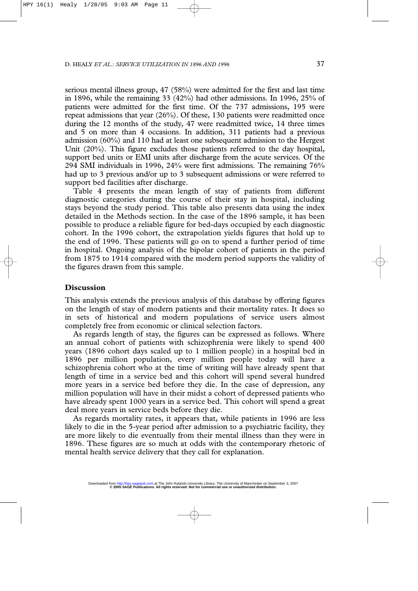serious mental illness group, 47 (58%) were admitted for the first and last time in 1896, while the remaining 33 (42%) had other admissions. In 1996, 25% of patients were admitted for the first time. Of the 737 admissions, 195 were repeat admissions that year (26%). Of these, 130 patients were readmitted once during the 12 months of the study, 47 were readmitted twice, 14 three times and 5 on more than 4 occasions. In addition, 311 patients had a previous admission (60%) and 110 had at least one subsequent admission to the Hergest Unit (20%). This figure excludes those patients referred to the day hospital, support bed units or EMI units after discharge from the acute services. Of the 294 SMI individuals in 1996, 24% were first admissions. The remaining 76% had up to 3 previous and/or up to 3 subsequent admissions or were referred to support bed facilities after discharge.

Table 4 presents the mean length of stay of patients from different diagnostic categories during the course of their stay in hospital, including stays beyond the study period. This table also presents data using the index detailed in the Methods section. In the case of the 1896 sample, it has been possible to produce a reliable figure for bed-days occupied by each diagnostic cohort. In the 1996 cohort, the extrapolation yields figures that hold up to the end of 1996. These patients will go on to spend a further period of time in hospital. Ongoing analysis of the bipolar cohort of patients in the period from 1875 to 1914 compared with the modern period supports the validity of the figures drawn from this sample.

#### **Discussion**

This analysis extends the previous analysis of this database by offering figures on the length of stay of modern patients and their mortality rates. It does so in sets of historical and modern populations of service users almost completely free from economic or clinical selection factors.

As regards length of stay, the figures can be expressed as follows. Where an annual cohort of patients with schizophrenia were likely to spend 400 years (1896 cohort days scaled up to 1 million people) in a hospital bed in 1896 per million population, every million people today will have a schizophrenia cohort who at the time of writing will have already spent that length of time in a service bed and this cohort will spend several hundred more years in a service bed before they die. In the case of depression, any million population will have in their midst a cohort of depressed patients who have already spent 1000 years in a service bed. This cohort will spend a great deal more years in service beds before they die.

As regards mortality rates, it appears that, while patients in 1996 are less likely to die in the 5-year period after admission to a psychiatric facility, they are more likely to die eventually from their mental illness than they were in 1896. These figures are so much at odds with the contemporary rhetoric of mental health service delivery that they call for explanation.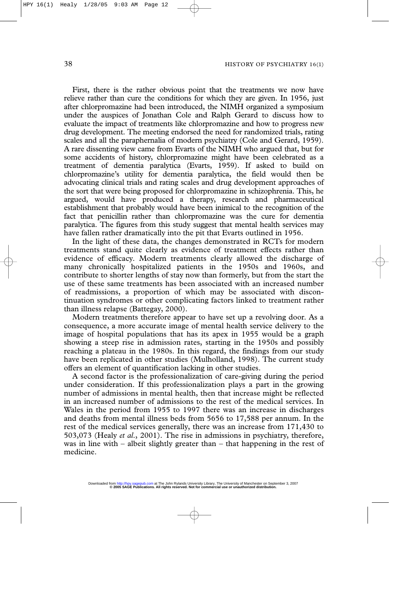First, there is the rather obvious point that the treatments we now have relieve rather than cure the conditions for which they are given. In 1956, just after chlorpromazine had been introduced, the NIMH organized a symposium under the auspices of Jonathan Cole and Ralph Gerard to discuss how to evaluate the impact of treatments like chlorpromazine and how to progress new drug development. The meeting endorsed the need for randomized trials, rating scales and all the paraphernalia of modern psychiatry (Cole and Gerard, 1959). A rare dissenting view came from Evarts of the NIMH who argued that, but for some accidents of history, chlorpromazine might have been celebrated as a treatment of dementia paralytica (Evarts, 1959). If asked to build on chlorpromazine's utility for dementia paralytica, the field would then be advocating clinical trials and rating scales and drug development approaches of the sort that were being proposed for chlorpromazine in schizophrenia. This, he argued, would have produced a therapy, research and pharmaceutical establishment that probably would have been inimical to the recognition of the fact that penicillin rather than chlorpromazine was the cure for dementia paralytica. The figures from this study suggest that mental health services may have fallen rather dramatically into the pit that Evarts outlined in 1956.

In the light of these data, the changes demonstrated in RCTs for modern treatments stand quite clearly as evidence of treatment effects rather than evidence of efficacy. Modern treatments clearly allowed the discharge of many chronically hospitalized patients in the 1950s and 1960s, and contribute to shorter lengths of stay now than formerly, but from the start the use of these same treatments has been associated with an increased number of readmissions, a proportion of which may be associated with discontinuation syndromes or other complicating factors linked to treatment rather than illness relapse (Battegay, 2000).

Modern treatments therefore appear to have set up a revolving door. As a consequence, a more accurate image of mental health service delivery to the image of hospital populations that has its apex in 1955 would be a graph showing a steep rise in admission rates, starting in the 1950s and possibly reaching a plateau in the 1980s. In this regard, the findings from our study have been replicated in other studies (Mulholland, 1998). The current study offers an element of quantification lacking in other studies.

A second factor is the professionalization of care-giving during the period under consideration. If this professionalization plays a part in the growing number of admissions in mental health, then that increase might be reflected in an increased number of admissions to the rest of the medical services. In Wales in the period from 1955 to 1997 there was an increase in discharges and deaths from mental illness beds from 5656 to 17,588 per annum. In the rest of the medical services generally, there was an increase from 171,430 to 503,073 (Healy *et al*., 2001). The rise in admissions in psychiatry, therefore, was in line with – albeit slightly greater than – that happening in the rest of medicine.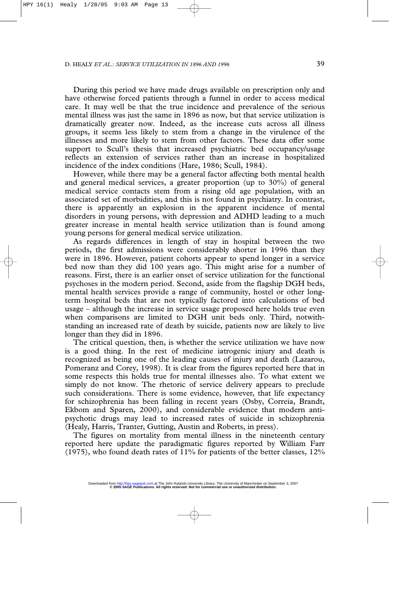During this period we have made drugs available on prescription only and have otherwise forced patients through a funnel in order to access medical care. It may well be that the true incidence and prevalence of the serious mental illness was just the same in 1896 as now, but that service utilization is dramatically greater now. Indeed, as the increase cuts across all illness groups, it seems less likely to stem from a change in the virulence of the illnesses and more likely to stem from other factors. These data offer some support to Scull's thesis that increased psychiatric bed occupancy/usage reflects an extension of services rather than an increase in hospitalized incidence of the index conditions (Hare, 1986; Scull, 1984).

However, while there may be a general factor affecting both mental health and general medical services, a greater proportion (up to 30%) of general medical service contacts stem from a rising old age population, with an associated set of morbidities, and this is not found in psychiatry. In contrast, there is apparently an explosion in the apparent incidence of mental disorders in young persons, with depression and ADHD leading to a much greater increase in mental health service utilization than is found among young persons for general medical service utilization.

As regards differences in length of stay in hospital between the two periods, the first admissions were considerably shorter in 1996 than they were in 1896. However, patient cohorts appear to spend longer in a service bed now than they did 100 years ago. This might arise for a number of reasons. First, there is an earlier onset of service utilization for the functional psychoses in the modern period. Second, aside from the flagship DGH beds, mental health services provide a range of community, hostel or other longterm hospital beds that are not typically factored into calculations of bed usage – although the increase in service usage proposed here holds true even when comparisons are limited to DGH unit beds only. Third, notwithstanding an increased rate of death by suicide, patients now are likely to live longer than they did in 1896.

The critical question, then, is whether the service utilization we have now is a good thing. In the rest of medicine iatrogenic injury and death is recognized as being one of the leading causes of injury and death (Lazarou, Pomeranz and Corey, 1998). It is clear from the figures reported here that in some respects this holds true for mental illnesses also. To what extent we simply do not know. The rhetoric of service delivery appears to preclude such considerations. There is some evidence, however, that life expectancy for schizophrenia has been falling in recent years (Osby, Correia, Brandt, Ekbom and Sparen, 2000), and considerable evidence that modern antipsychotic drugs may lead to increased rates of suicide in schizophrenia (Healy, Harris, Tranter, Gutting, Austin and Roberts, in press).

The figures on mortality from mental illness in the nineteenth century reported here update the paradigmatic figures reported by William Farr (1975), who found death rates of  $11\%$  for patients of the better classes,  $12\%$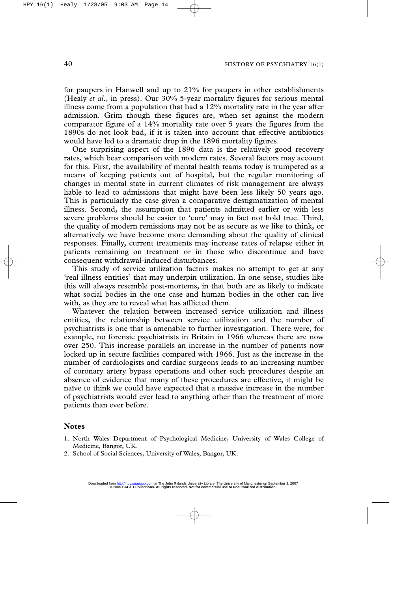for paupers in Hanwell and up to 21% for paupers in other establishments (Healy *et al*., in press). Our 30% 5-year mortality figures for serious mental illness come from a population that had a 12% mortality rate in the year after admission. Grim though these figures are, when set against the modern comparator figure of a 14% mortality rate over 5 years the figures from the 1890s do not look bad, if it is taken into account that effective antibiotics would have led to a dramatic drop in the 1896 mortality figures.

One surprising aspect of the 1896 data is the relatively good recovery rates, which bear comparison with modern rates. Several factors may account for this. First, the availability of mental health teams today is trumpeted as a means of keeping patients out of hospital, but the regular monitoring of changes in mental state in current climates of risk management are always liable to lead to admissions that might have been less likely 50 years ago. This is particularly the case given a comparative destigmatization of mental illness. Second, the assumption that patients admitted earlier or with less severe problems should be easier to 'cure' may in fact not hold true. Third, the quality of modern remissions may not be as secure as we like to think, or alternatively we have become more demanding about the quality of clinical responses. Finally, current treatments may increase rates of relapse either in patients remaining on treatment or in those who discontinue and have consequent withdrawal-induced disturbances.

This study of service utilization factors makes no attempt to get at any 'real illness entities' that may underpin utilization. In one sense, studies like this will always resemble post-mortems, in that both are as likely to indicate what social bodies in the one case and human bodies in the other can live with, as they are to reveal what has afflicted them.

Whatever the relation between increased service utilization and illness entities, the relationship between service utilization and the number of psychiatrists is one that is amenable to further investigation. There were, for example, no forensic psychiatrists in Britain in 1966 whereas there are now over 250. This increase parallels an increase in the number of patients now locked up in secure facilities compared with 1966. Just as the increase in the number of cardiologists and cardiac surgeons leads to an increasing number of coronary artery bypass operations and other such procedures despite an absence of evidence that many of these procedures are effective, it might be naïve to think we could have expected that a massive increase in the number of psychiatrists would ever lead to anything other than the treatment of more patients than ever before.

#### **Notes**

- 1. North Wales Department of Psychological Medicine, University of Wales College of Medicine, Bangor, UK.
- 2. School of Social Sciences, University of Wales, Bangor, UK.